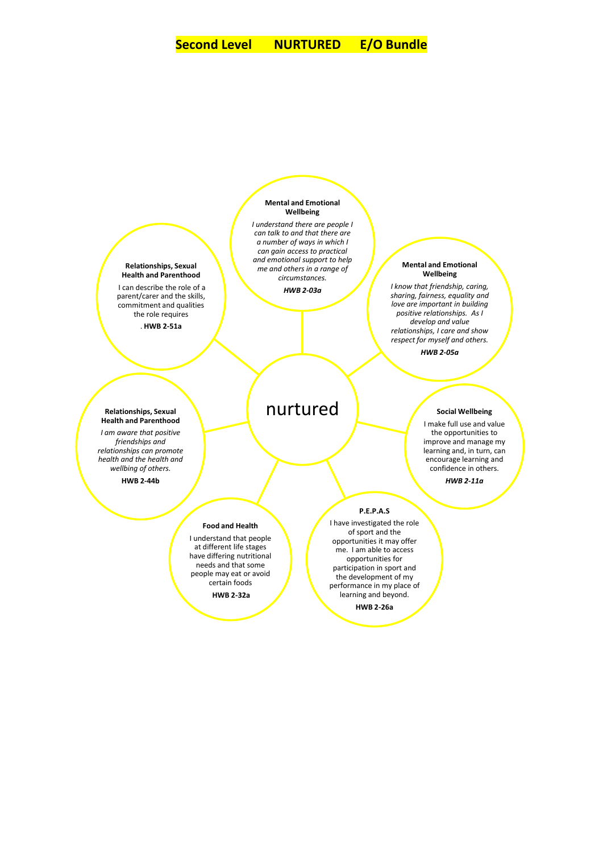

**HWB 2-26a**